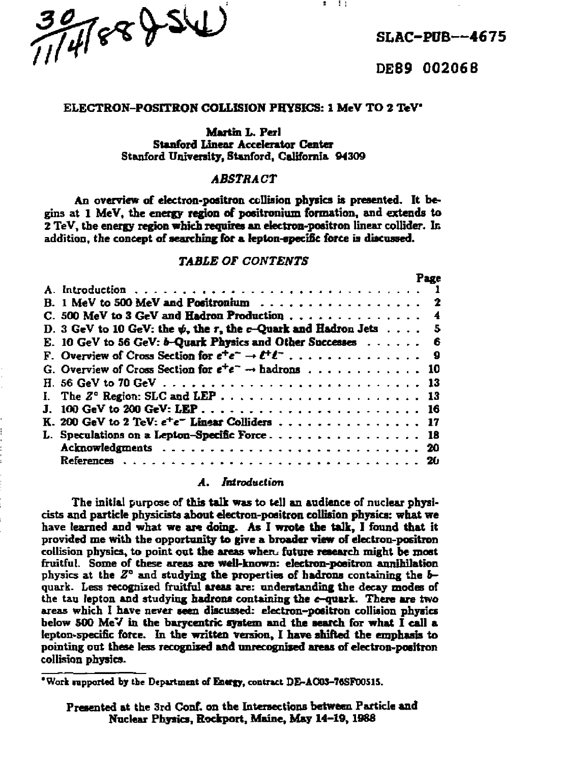$\frac{39}{114}$   $68$   $8\sqrt{541}$   $814$ 

**' DE89 002068** 

### **ELECTRON-POSITRON COLLISION PHYSICS: 1 MeV TO 2 TeV**

#### **Martin L. Perl**

**Stanford Linear Accelerator Center Stanford University, Stanford, California 94309** 

### *ABSTRACT*

**An overview of electron-positron collision physics is presented. It begins at 1 MeV, the energy region of positronium formation, and extends to 2 TeV, the energy region which requires an electron-positron linear collider. Ic addition, the concept of searching for a lepton-epecifie force is discussed.** 

### *TABLE OF CONTENTS*

|                                                                               |  | Page |
|-------------------------------------------------------------------------------|--|------|
|                                                                               |  |      |
|                                                                               |  |      |
| C. 500 MeV to 3 GeV and Hadron Production 4                                   |  |      |
| D. 3 GeV to 10 GeV; the $\psi$ , the r, the c-Quark and Hadron Jets $\dots$ 5 |  |      |
| E. 10 GeV to 56 GeV: b-Quark Physics and Other Successes 6                    |  |      |
|                                                                               |  |      |
| G. Overview of Cross Section for $e^+e^- \rightarrow$ hadrons 10              |  |      |
|                                                                               |  |      |
|                                                                               |  |      |
|                                                                               |  |      |
| K. 200 GeV to 2 TeV: e <sup>+</sup> e <sup>-</sup> Linear Colliders 17        |  |      |
| L. Speculations on a Lepton-Specific Force 18                                 |  |      |
|                                                                               |  |      |
|                                                                               |  |      |

### **A.** *Introduction*

**The initial purpose of this talk was to tell an audience of nuclear physicists and particle physicists about electron-positron collision physics: what we have learned and what we are doing. As I wrote the talk, I found that it provided me with the opportunity to give a broader view of electron-positron collision physics, to point out the areas whero future research might be most fruitful. Some of these areas are well-known: electron-positron annihilation physics at the** *Z°* **and studying the properties of hadrons containing the** *b***quark. Less recognized fruitful areas are: understanding the decay modes of the tau lepton and studying hadrons containing the «-quark. There are two areas which I have never seen discussed: electron-positron collision physics below 500 MeV in the barycentric system and the search for what I call a lepton>5pecinc force. In the written version, I have shifted the emphasis to pointing out these less recognised and unrecognised areas of electron-positron collision physics.** 

**<sup>&#</sup>x27;Work rapportcd by the Department of Entrgy, contract DE-ACO5-7ftSF00515.** 

**Presented at the 3rd Conf. on the Intersections between Particle and Nuclear Physics, Rockport, Maine, May 14-19,1988**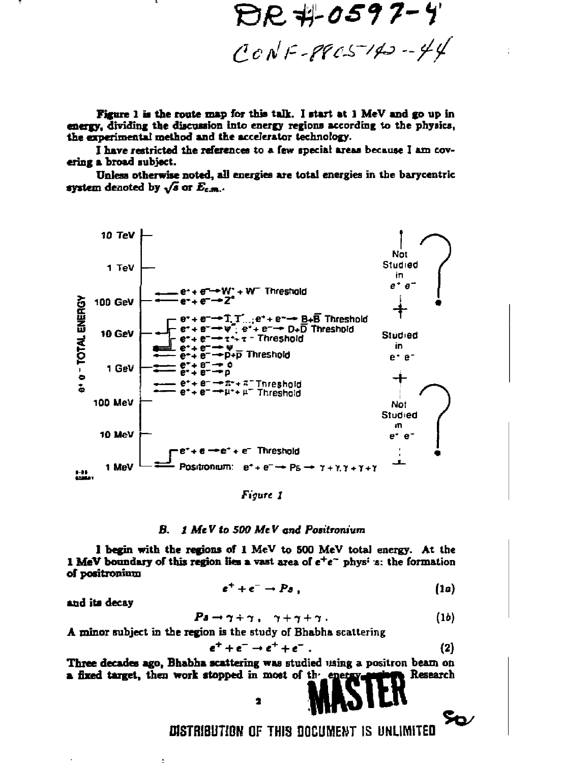DR #0597-4  $CCNF-PPCS^{-1}43-Y4$ 

Figure 1 is the route map for this talk. I start at 1 MeV and go up in energy, dividing the discussion into energy regions according to the physics, the experimental method and the accelerator technology.

I have restricted the references to a few special areas because I am covering a broad subject.

Unless otherwise noted, all energies are total energies in the barycentric system denoted by  $\sqrt{s}$  or  $E_{c.m.}$ .



Figure 1

#### B. 1 MeV to 500 MeV and Positronium

I begin with the regions of 1 MeV to 500 MeV total energy. At the 1 MeV boundary of this region lies a vast area of  $e^+e^-$  physins: the formation of positronium

$$
e^+ + e^- \rightarrow P \, \mathfrak{g} \,, \tag{1a}
$$

and its decay

$$
a \rightarrow \gamma + \gamma , \quad \gamma + \gamma + \gamma . \tag{1b}
$$

A minor subject in the region is the study of Bhabha scattering

P

$$
e^+ + e^- \rightarrow e^+ + e^- \ . \tag{2}
$$

⊱∞

Three decades ago, Bhabha scattering was studied using a positron beam on a fixed target, then work stopped in most of the energy Research

 $\overline{\mathbf{z}}$ 

DISTRIBUTION OF THIS DOCUMENT IS UNLIMITED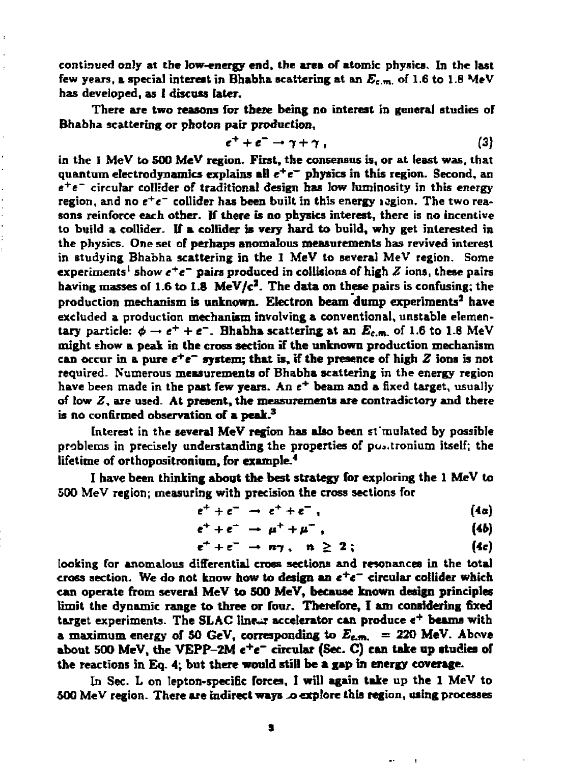**continued only at the low-energy end, the area of atomic physics. In the last few years, a special interest in Bhabha scattering at an** *B<sup>c</sup> .m .* **of 1.6 to 1.8 MeV has developed, as 1 discuss later.** 

**There are two reasons for there being no interest in general studies or Bhabha scattering or photon pair production,** 

$$
e^+ + e^- \to \gamma + \gamma \tag{3}
$$

**in the I MeV to 500 MeV region. First, the consensus is, or at least was, that quantum electrodynamics explains all** *e<sup>+</sup> e~* **physics in this region. Second, an e+e~ circular collider of traditional design has low luminosity in this energy region, and no e <sup>+</sup> c~ collider has been built in this energy icgion. The two reasons reinforce each other. If there is no phvsics interest, there is no incentive to build a collider. If a collider is very hard to build, why get interested in the physics. One set of perhaps anomalous measurements has revived interest in studying Bhabha scattering in the I MeV to several MeV region. Some experiments' show c <sup>+</sup> «~ pairs produced in collisions of high** *Z* **ions, these pairs**  having masses of 1.6 to 1.8 MeV/c<sup>2</sup>. The data on these pairs is confusing; the **production mechanism is unknown. Electron beam dump experiments<sup>3</sup> have excluded a production mechanism involving a conventional, unstable elementary** particle:  $\phi \rightarrow e^+ + e^-$ . Bhabha scattering at an  $E_{e^-}$  of 1.6 to 1.8 MeV **might show a peak in the cross section if the unknown production mechanism can occur in a pure** *e\*e~* **system; that is, if the presence of high** *Z* **ions is not required. Numerous measurements of Bhabha scattering in the energy region**  have been made in the past few years. An e<sup>+</sup> beam and a fixed target, usually **of low** *Z,* **are used. At present, the measurements are contradictory and there is no confirmed observation of a peak.<sup>3</sup>**

**Interest in the several MeV region has also been simulated by possible problems in precisely understanding the properties of pua.tronium itself; the lifetime of orthopositroniom, for example.<sup>4</sup>**

**I have been thinking about the best strategy for exploring the 1 MeV to 500 MeV region; measuring with precision the cross sections for** 

$$
e^+ + e^- \rightarrow e^+ + e^-, \qquad (4a)
$$

$$
e^+ + e^- \rightarrow \mu^+ + \mu^- \,, \tag{4b}
$$

$$
e^+ + e^- \rightarrow n\gamma \ , \quad n \geq 2 \ ; \qquad (4c)
$$

**looking far anomalous differential cross sections and resonances in the total cross section. We do not know how to design an** *e<sup>+</sup> e~* **circular coltider which can operate from several MeV to 500 MeV, because known design principles limit the dynamic range to three or four. Therefore, I am considering fixed**  target experiments. The SLAC linear accelerator can produce  $e^+$  beams with **a maximum energy of 50 GeV, corresponding to**  $E_{c.m.}$  **= 220 MeV. Above about 500 MeV, the VEPP-2M e+e~ circular (Sec. C) can take up studies of the reactions in Eq. 4; but there would still be a gap in energy coverage.** 

**In Sec. L on lepton-speciBc forces, I will again take up the 1 MeV to**  500 MeV region. There are indirect ways to explore this region, using processes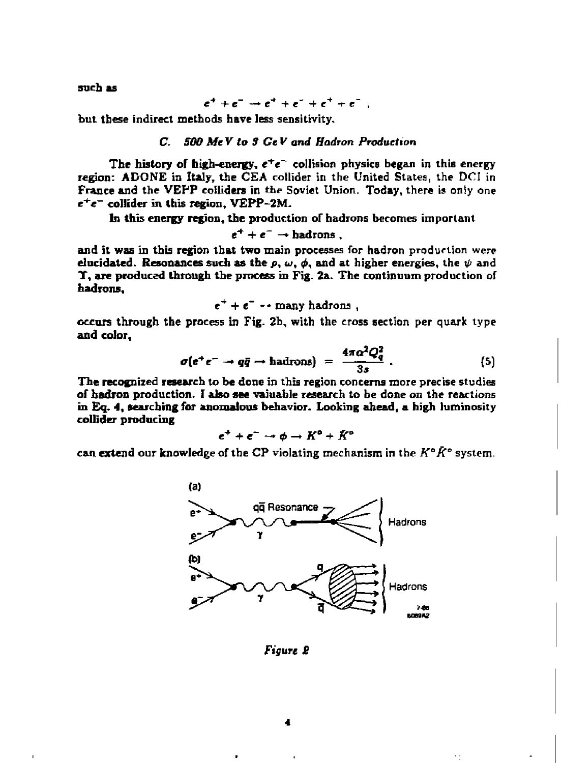**such as** 

$$
e^+ + e^- \rightarrow e^+ + e^- + e^+ + e^-
$$

**but these indirect methods have less sensitivity.** 

### **C. 500** *MeV to 8 GtV and Hadron Production*

The history of high-energy,  $e^+e^-$  collision physics began in this energy **region: A DONE in Italy, the CEA collider in the United States, the DCI in France and the VEPP colliders in** *the* **Soviet Union. Today, there is only one**   $e^+e^-$  collider in this region, VEPP-2M.

**In this energy region, the production or hadrons becomes important** 

 $e^+ + e^- \rightarrow$ **badrons**.

**and it was in this region that two main processes for hadron production were elucidated. Resonances such as the**  $p$ ,  $\omega$ ,  $\phi$ , and at higher energies, the  $\psi$  and **T, are produced through the process in Fig. 2a. The continuum production of hadrons,** 

$$
e^+ + e^- - \text{many hadrons},
$$

**occurs through the process in Fig. 2b, with the cross section per quark type and color,** 

$$
\sigma(e^+e^- \to q\bar{q} \to \text{hadrons}) = \frac{4\pi\alpha^2 Q_q^2}{3s} \ . \tag{5}
$$

**The recognized research to be done in this region concerns more precise studies of hadron production. I also see vaiuable research to be done on the reactions in Eq.** *4,* **searching for anomalous behavior. Looking ahead, a high luminosity collider producing** 

$$
e^+ + e^- \rightarrow \phi \rightarrow K^{\circ} + \bar{K}^{\circ}
$$

**can extend our knowledge of the CP violating mechanism in the** *K"K°* **system.** 



*Figure £*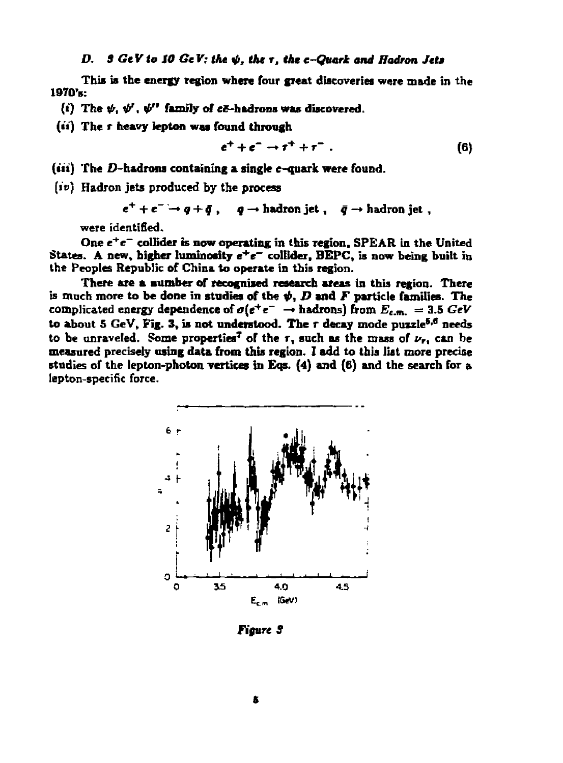### *D. S GtVto SO GeV; the 4>, the r, the c-Quark and Hadron Jets*

**This is the energy region where four great discoveries were made in the**  1970'E:

(i) The  $\psi$ ,  $\psi'$ ,  $\psi''$  family of  $c\bar{c}$ -hadrons was discovered.

(ii) The r heavy lepton was found through

$$
e^+ + e^- \rightarrow \tau^+ + \tau^- \ . \tag{6}
$$

**(tit) The D-badrons containing a single c-quark were found.** 

**(if) Hadron jets produced by the process** 

 $e^+ + e^- \rightarrow q + \bar{q}$ ,  $q \rightarrow$  hadron jet,  $\bar{q} \rightarrow$  hadron jet,

**were identified.** 

One  $e^+e^-$  collider is now operating in this region, SPEAR in the United **States. A new, higher luminosity** *e<sup>+</sup> e~* **collider, BEPC, is now being built in the Peoples Republic of China to operate in this region.** 

**There are a number of recognised research areas in this region. There**  is much more to be done in studies of the  $\psi$ ,  $D$  and  $F$  particle families. The  $\mathbf{complicated}$  energy dependence of  $\sigma(e^+e^- \rightarrow \text{hadrons})$  from  $E_{c.m.} = 3.5~GeV$ **to about 5 GeV, Fig. 3, is not understood. The r decay mode puzzle<sup>5,6</sup> needs to be unraveled. Some properties<sup>7</sup> or the r, such as the mass of** *v<sup>r</sup> ,* **can be measured precisely using data from this region. I add to this liat more precise studies of the lepton-photon vertices in Eos. (4) and (6) and the search for a lepton-specific force.** 



*Figure S*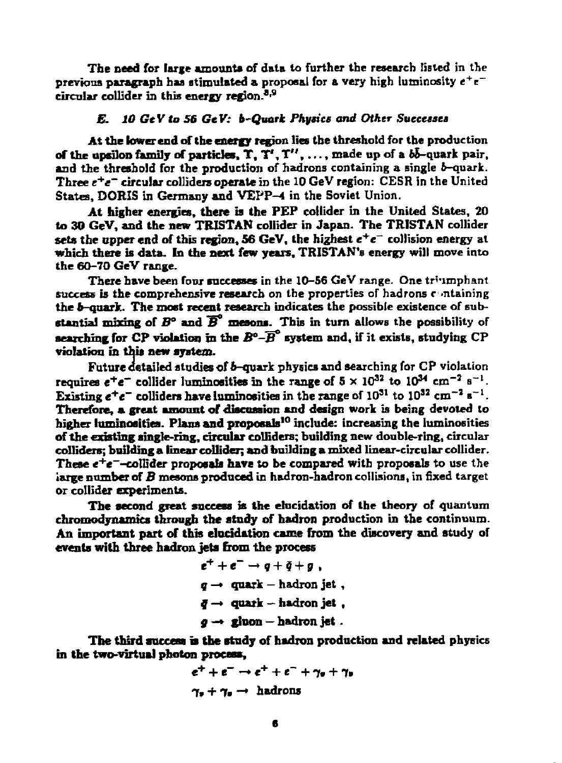**The need for large amounts of data to further the research listed in the previous paragraph has stimulated a proposal for a very high luminosity e <sup>+</sup> e circular collider in this energy region.<sup>3</sup> ' 8** 

# *E. 10 GeV to 56 GeV: b-Quark Physics and Other Successes*

**At the lower end of the energy region lies the threshold for the production of the upsilon family of particles, T, T', T",... , made up of a 6&-quark pair,**  and the threshold for the production of hadrons containing a single *b*-quark. **Three** *e\*e~* **circular colliders operate in the 10 GeV region: CESR in the United States, DORIS in Germany and VEPP-4 in the Soviet Union.** 

**At higher energies, there is the PEP collider in the United States, 20 to 30 GeV, and the new TRISTAN collider in Japan. The TRISTAN collider sets the upper end of this region, 56 GeV, the highest e <sup>+</sup> e~ collision energy at**  which there is data. In the next few years, TRISTAN's energy will move into **the 60-70 GeV range.** 

**There have been four successes in the 10-56 GeV range. One tr'imphant success is the comprehensive research on the properties of hadrons containing the 6-quark. The most recent research indicates the possible existence of substantial mixing of**  $B^{\circ}$  **and**  $\overline{B}^{\circ}$  **mesons. This in turn allows the possibility of searching for CP violation in the** *B°-B* **system and, if it exists, studying CP violation in this new system.** 

**Future detailed studies of 6-quark physics and searching for CP violation requires**  $e^+e^-$  **collider luminosities in the range of**  $5 \times 10^{32}$  **to**  $10^{34}$  **cm<sup>-2</sup> s<sup>-1</sup>. Existing**  $e^+e^-$  **colliders have luminosities in the range of**  $10^{31}$  **to**  $10^{32}$  **cm<sup>-2</sup> s<sup>-1</sup>. Therefore, a great amount of discussion and design work is being devoted to higher luminosities. Plana and proposals<sup>10</sup> include: increasing the luminosities of the existing single-ring, circular colliders; building new double-ring, circular colliders; building a linear collider; and building a mixed linear-circular collider. These e<sup>+</sup> e~-colIider proposals have to be compared with proposals to use the large number of** *B* **mesons produced in hadron-hadron collisions, in fixed target or collider experiments.** 

**The second great success is the elucidation of the theory of quantum chromodynamics through the study of hadron production in the continuum. An important part of this elucidation came from the discovery and study of events with three hadron jets from the process** 

$$
e^+ + e^- \rightarrow q + \bar{q} + g
$$
,  
\n
$$
q \rightarrow \text{ quark} - \text{hadron jet}
$$
,  
\n
$$
\bar{q} \rightarrow \text{ quark} - \text{hadron jet}
$$
,  
\n
$$
g \rightarrow \text{gloon} - \text{hadron jet}
$$
.

**The third success is the study of hadron production and related physics in the two-virtual photon process,** 

$$
e^+ + e^- \rightarrow e^+ + e^- + \gamma_e + \gamma_e
$$
  

$$
\gamma_s + \gamma_e \rightarrow \text{hadrons}
$$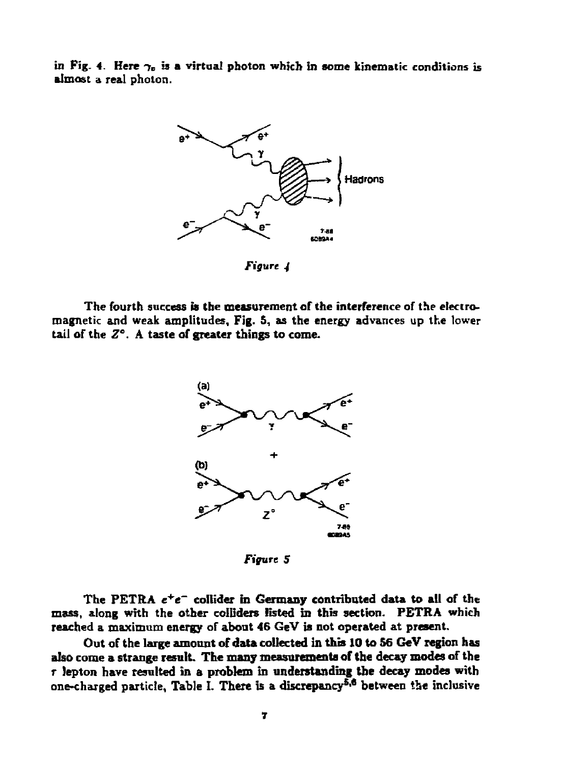in Fig. 4. Here  $\gamma_o$  is a virtual photon which in some kinematic conditions is **almost a real photon.** 



*Figure 4* 

**The fourth success is the measurement of the interference of the electromagnetic and weak amplitudes. Fig. 5, as the energy advances up the lower tail of the** *Z°.* **A taste of greater things to come.** 



*Figure S* 

**The PETRA** *c<sup>+</sup> e~* **collider in Germany contributed data to all of the mass, along with the other colliders listed in this section. PETRA which reached a maximum energy of about 46 GeV is not operated at present.** 

**Out of the large amount of data collected in this 10 to 56 GeV region has also come a strange result. The many measurementa of the decay modes of the r lepton have resulted in a problem in understanding the decay modes with one-charged particle, Table I. There is a discrepancy<sup>5</sup> '\* between the inclusive**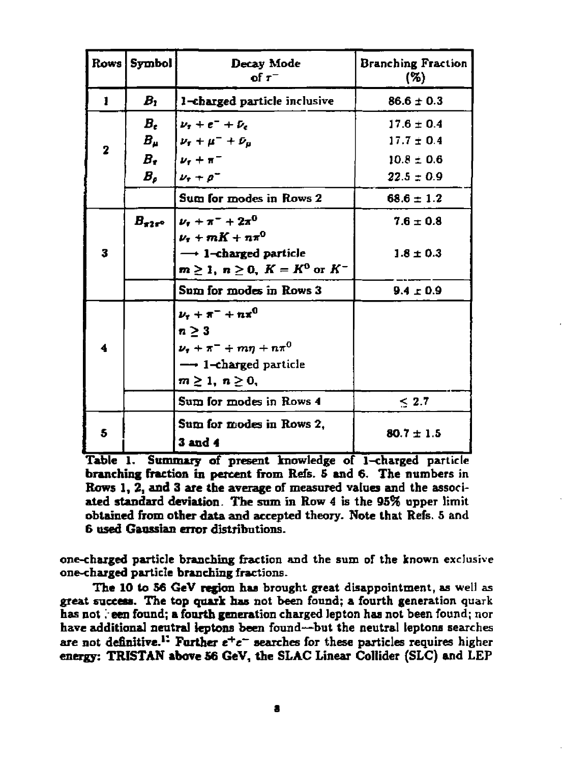|   | Rows Symbol | Decay Mode<br>of $\tau^-$                                                                                                                               | <b>Branching Fraction</b><br>(%)                   |
|---|-------------|---------------------------------------------------------------------------------------------------------------------------------------------------------|----------------------------------------------------|
| 1 | $B_{1}$     | 1-charged particle inclusive                                                                                                                            | $86.6 \pm 0.3$                                     |
| 2 | В.          | $\nu_{i} + e^{-} + \nu_{e}$<br>$B_\mu$ $ \nu_{\rm r} + \mu^- + \bar{\nu}_{\mu} $<br>$B_r$ $[\nu_r + \pi^-]$                                             | $17.6 \pm 0.4$<br>$17.7 \pm 0.4$<br>$10.8 \pm 0.6$ |
|   | $B_{\rho}$  | $\nu_{r} + \rho^{-}$                                                                                                                                    | $22.5 \pm 0.9$                                     |
|   |             | Sum for modes in Rows 2                                                                                                                                 | $68.6 \pm 1.2$                                     |
|   |             | $B_{\pi 2\pi^0}$   $\nu_{\tau}$ + $\pi^-$ + $2\pi^0$<br>$\nu_{\tau} + mK + n\pi^{0}$                                                                    | $7.6 \pm 0.8$                                      |
| 3 |             | $\longrightarrow$ 1-charged particle<br>$m\geq 1$ , $n\geq 0$ , $K=K^0$ or $K^-$                                                                        | $1.8 \pm 0.3$                                      |
|   |             | Sum for modes in Rows 3                                                                                                                                 | $9.4 \pm 0.9$                                      |
|   |             | $\nu_{\tau} + \pi^{-} + n\pi^{0}$<br>$n \geq 3$<br>$\nu_{\tau} + \pi^{-} + m\eta + n\pi^{0}$<br>$\rightarrow$ 1-charged particle<br>$m\geq 1, n\geq 0,$ |                                                    |
|   |             | Sum for modes in Rows 4                                                                                                                                 | $\leq 2.7$                                         |
| 5 |             | Sum for modes in Rows 2,<br><b>3 and 4</b>                                                                                                              | $80.7 \pm 1.5$                                     |

Table 1. Summary of present knowledge of 1-charged particle branching fraction in percent from Refs. 5 and 6. The numbers in Rows 1, 2, and 3 are the average of measured values and the associated standard deviation. The sum in Row 4 is the 95% upper limit obtained from other data and accepted theory. Note that Refs. 5 and 6 used Gaussian error distributions.

one-charged particle branching fraction and the sum of the known exclusive one-charged particle branching fractions.

The 10 to 56 GeV region has brought great disappointment, as well as great success. The top quark has not been found; a fourth generation quark has not *':* een found; a fourth generation charged lepton has not been found; nor have additional neutral leptons been found—but the neutral leptons searches are not definitive.<sup>11</sup> Further  $e^+e^-$  searches for these particles requires higher energy: TRISTAN **above** 56 GeV, the SLAC Linear Collider (SLC) and LEP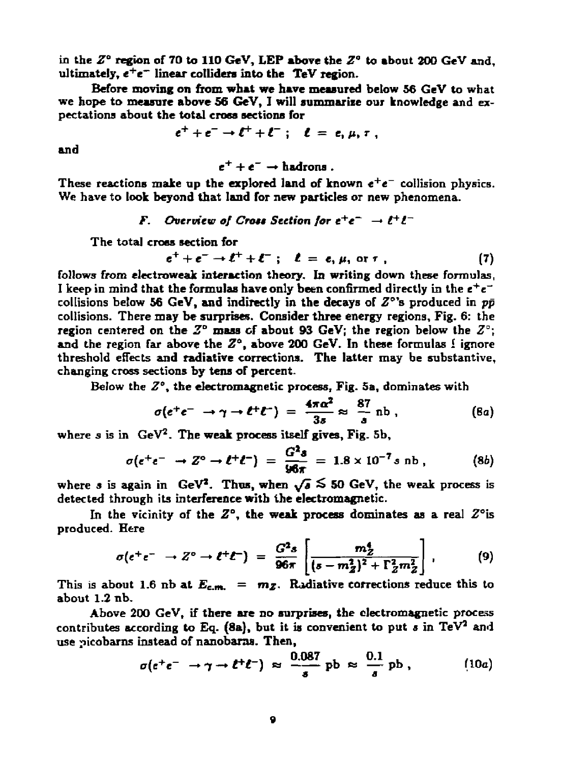**in the** *Z"* **region of 70 to 110 GeV, LEP above the** *Z"* **to about 200 GeV and, ultimately, e <sup>+</sup> e~ linear colliders into the TeV region.** 

**Before moving on from what we have measured below 56 GeV to what we hope to measure above 56 GeV, I will summarize our knowledge and expectations about the total cross sections for** 

$$
e^+ + e^- \rightarrow \ell^+ + \ell^- \; ; \quad \ell = e, \mu, \tau \; ,
$$

**and** 

 $e^+ + e^- \rightarrow$ **hadrons**.

**These reactions make up the explored land of known** *e<sup>+</sup> e~* **collision physics. We have to took beyond that land for new particles or new phenomena.** 

# *F.* Overview of Cross Section for  $e^+e^- \rightarrow \ell^+\ell^-$

**The total cross section for** 

$$
e^+ + e^- \rightarrow \ell^+ + \ell^- \; ; \quad \ell = e, \mu, \text{ or } \tau \; , \tag{7}
$$

**follows from electroweak interaction theory. In writing down these formulas, I keep in mind that the formulas have only been confirmed directly in the** *e<sup>+</sup> e"*  **collisions below 56 GeV, and indirectly in the decays of Z°'s produced in** *pp*  **collisions. There may be surprises. Consider three energy regions, Fig. 6: the region centered on the** *Z°* **mass of about 93 GeV; the region below the** *Z°;*  and the region far above the  $Z^{\circ}$ , above 200 GeV. In these formulas I ignore **threshold effects and radiative corrections. The latter may be substantive, changing cross sections by tens of percent.** 

**Below the** *Z°<sup>y</sup>*  **the electromagnetic process, Fig. 5a, dominates with** 

$$
\sigma(e^+e^- \to \gamma \to \ell^+\ell^-) = \frac{4\pi\alpha^2}{3s} \approx \frac{87}{s} \text{ nb}, \qquad (8a)
$$

**where s is in GeV<sup>2</sup> . The weak process itself gives, Fig. 5b,** 

$$
\sigma(e^+e^- \to Z^{\circ} \to \ell^+\ell^-) = \frac{G^2s}{96\pi} = 1.8 \times 10^{-7} s \text{ nb}, \qquad (8b)
$$

where *s* is again in GeV<sup>2</sup>. Thus, when  $\sqrt{s} \le 50$  GeV, the weak process is **detected through its interference with the electromagnetic.** 

In the vicinity of the  $Z^{\circ}$ , the weak process dominates as a real  $Z^{\circ}$  is **produced. Here** 

$$
\sigma(e^+e^- \to Z^{\circ} \to \ell^+\ell^-) = \frac{G^2s}{96\pi} \left[ \frac{m_Z^4}{(s-m_Z^2)^2 + \Gamma_Z^2 m_Z^2} \right], \qquad (9)
$$

This is about 1.6 nb at  $E_{c.m.} = m_Z$ . Radiative corrections reduce this to **about 1.2 nb.** 

**Above 200 GeV, if there are no surprises, the electromagnetic process**  contributes according to Eq.  $(8a)$ , but it is convenient to put  $s$  in TeV<sup>2</sup> and **use picobarns instead of nanobaras. Then,** 

$$
\sigma(e^+e^- \to \gamma \to \ell^+\ell^-) \approx \frac{0.087}{s} \text{ pb} \approx \frac{0.1}{s} \text{ pb}, \qquad (10a)
$$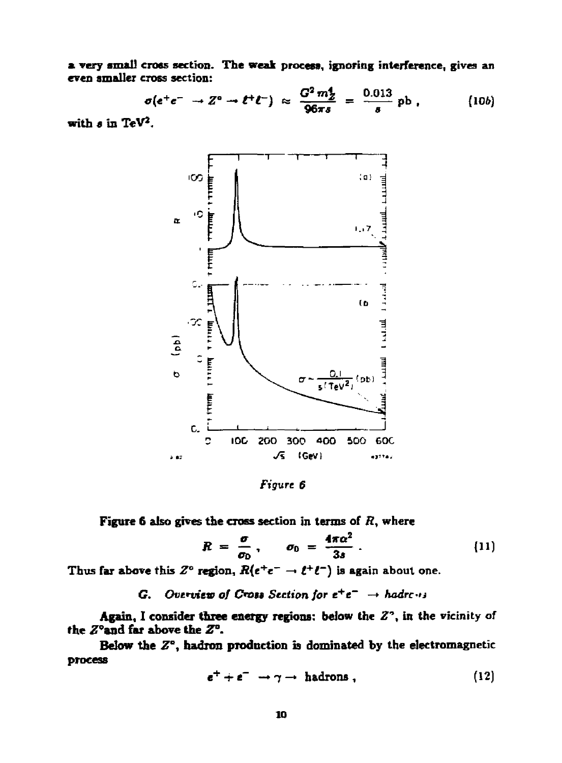a very small cross section. The weak process, ignoring interference, gives an even smaller cross section:

$$
\sigma(e^+e^- \to Z^o \to \ell^+\ell^-) \approx \frac{G^2 m_Z^2}{96\pi s} = \frac{0.013}{s} \text{ pb}, \qquad (10b)
$$

with  $s$  in TeV<sup>2</sup>.



Figure 6

Figure 6 also gives the cross section in terms of  $R$ , where

$$
R = \frac{\sigma}{\sigma_0}, \qquad \sigma_0 = \frac{4\pi\alpha^2}{3s} \ . \tag{11}
$$

Thus far above this  $Z^{\circ}$  region,  $R(e^+e^- \to \ell^+\ell^-)$  is again about one.

G. Overview of Cross Section for  $e^+e^- \rightarrow hadr\cdots$ 

Again, I consider three energy regions: below the  $Z^2$ , in the vicinity of the  $Z^{\circ}$  and far above the  $Z^{\circ}$ .

Below the  $Z^{\circ}$ , hadron production is dominated by the electromagnetic process

$$
e^+ + e^- \to \gamma \to \text{hadrons} \,, \tag{12}
$$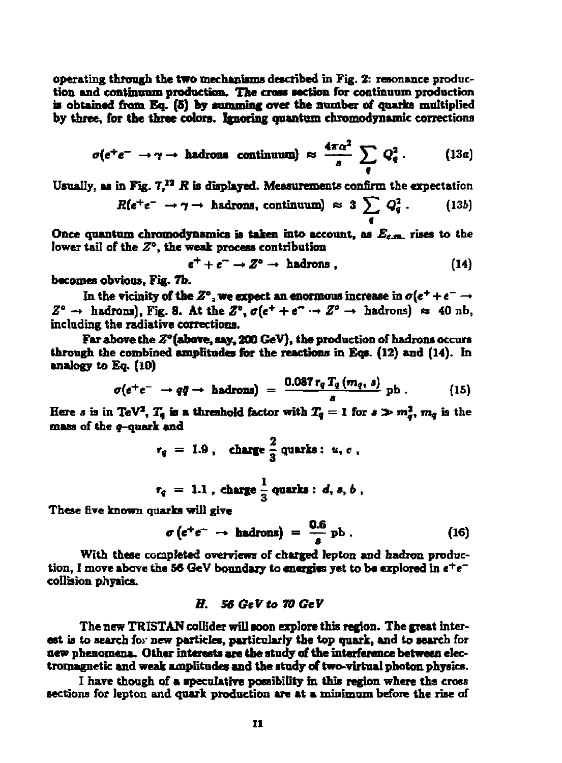**operating through the two mechanisms described in Fig. 2: resonance produc**tion and continuum production. The cross section for continuum production is obtained from Eq. (5) by summing over the number of quarks multiplied **by three, for the three colors. Ignoring quantum chromodynamic corrections** 

$$
\sigma(e^+e^- \to \gamma \to \text{hadrons} \text{ continuum}) \approx \frac{4\pi\alpha^2}{s} \sum_{q} Q_q^2. \qquad (13a)
$$

**Usually, as in Fig. 7,"** *R* **is displayed. Measurements confirm the expectation** 

$$
R(e^+e^- \to \gamma \to \text{hadrons, continuum}) \approx 3 \sum_{q} Q_q^2. \qquad (13b)
$$

Once quantum chromodynamics is taken into account, as  $E_{c.m.}$  rises to the **tower tail of the** *Z<sup>a</sup> ,* **the weak process contribution** 

$$
e^+ + e^- \to Z^0 \to \text{hadrons} \tag{14}
$$

**becomes obvious, Fig. 7b.** 

In the vicinity of the  $Z^{\circ}$ , we expect an enormous increase in  $\sigma(e^+ + e^- \rightarrow$  $Z^{\circ} \rightarrow$  **hadrons), Fig. 8. At the**  $Z^{\circ}$ **,**  $\sigma(\epsilon^{+} + \epsilon^{-} \rightarrow Z^{\circ} \rightarrow$ **<b> hadrons)**  $\approx$  40 nb, **including the radiative corrections.** 

**Far above the £°(above, say, 200 GeV), the production of hadrons occurs through the combined amplitudes for the reactions in Eos. (12) and (14). In analogy to Eq. (iO)** 

$$
\sigma(e^+e^- \to q\bar{q} \to \text{hadrons}) = \frac{0.087 r_q T_q(m_q, s)}{s} \text{ pb} . \qquad (15)
$$

**Here** *s* is in TeV<sup>2</sup>,  $T_4$  is a threshold factor with  $T_4 = 1$  for  $s \gg m_d^2$ ,  $m_d$  is the mass of the **q-quark** and

$$
r_q = 1.9, \text{ charge } \frac{2}{3} \text{ quarks: } u, c,
$$

$$
r_q = 1.1, \text{ charge } \frac{1}{3} \text{ quarks}: d, s, b,
$$

**These five known quarks will give** 

$$
\sigma\left(e^+e^-\rightarrow\text{hadrons}\right) = \frac{0.6}{s}\text{ pb} \ . \tag{16}
$$

**With these completed overviews of charged lepton and badron production, I move above the 56 GeV boundary to energies yet to be explored in** *e<sup>+</sup> e~*  **collision physics.** 

#### *B. 56 GtV to 70 GeV*

**The new TRISTAN collider will soon explore this region. The great interest is to search for new particles, particularly the top quark, and to search for new phenomena. Other interests are the study of the interference between electromagnetic and weak amplitudes and the study of two-virtual photon physics.** 

**I have though of a speculative possibility in this region where the cross**  sections for lepton and quark production are at a minimum before the rise of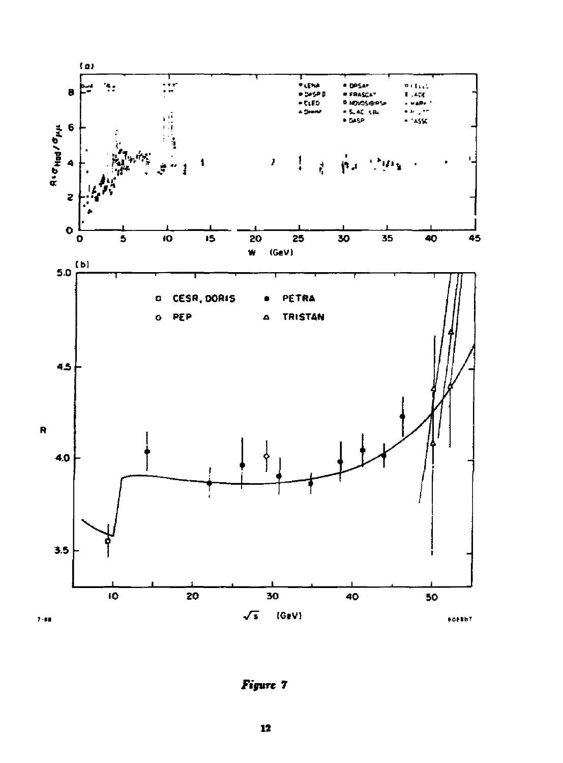

Figure 7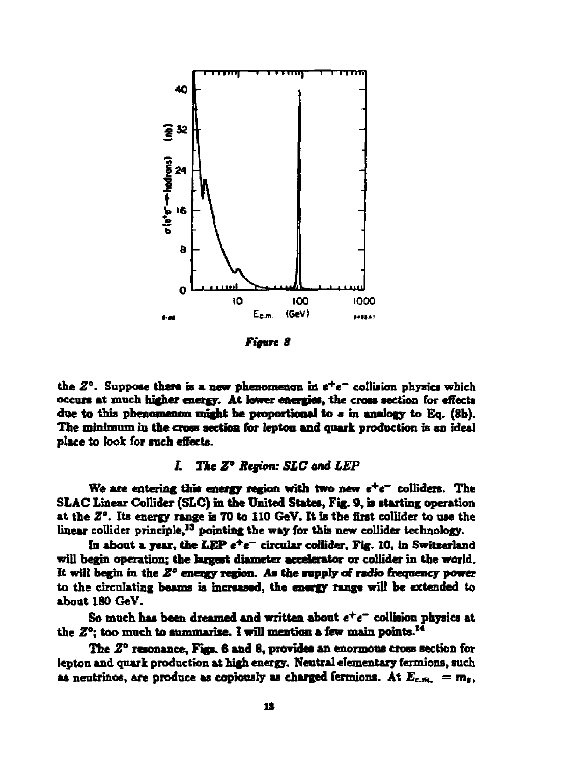

*Figure 8* 

the  $Z^{\circ}$ . Suppose there is a new phenomenon in  $e^+e^-$  collision physics which occurs at much higher energy. At lower energies, the cross section for effects due to this phenomenon might be proportional to a in analogy to Eq. (8b). The minimum in the cross section for lepton **and quark** production is an ideal place to look for roch effects.

# /. *The Z° Region: SLC and LEP*

We are entering this energy region with two new  $e^+e^-$  colliders. The SLAC Linear Collider (SLC) in the United States, Fig. 9, is starting operation at the *Z".* Its energy range is TO to 110 GeV. It is the first collider to use the linear collider principle,<sup>13</sup> pointing the way for this new collider technology.

In about a year, the LEP *e\*e~* circular collider. Fig. 10, in Switzerland will begin operation; the largest diameter accelerator or collider in the world. It will begin in the *Z°* energy region. As the supply of radio frequency power to the circulating beams is increased, the energy range will be extended to about 180 GeV.

So much, has been dreamed and written about *e + e~* collision physics at the  $Z^{\circ}$ : too much to summarize. I will mention a few main points.<sup>14</sup>

The *Z°* resonance, Figs. 6 and S, provides an enormous cross section for lepton and quark production at high energy. Neutral elementary fermions, such as neutrinos, are produce as copiously as charged fermions. At  $E_{c.m.} = m_f$ ,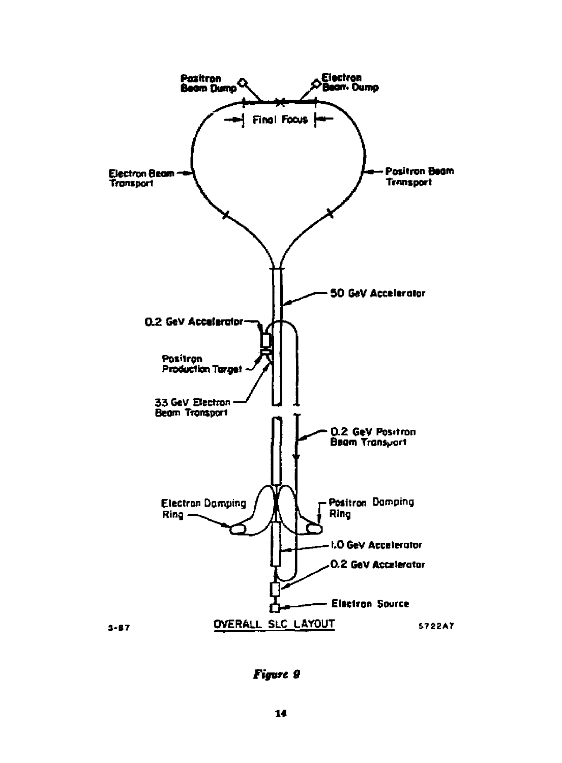

Figure 9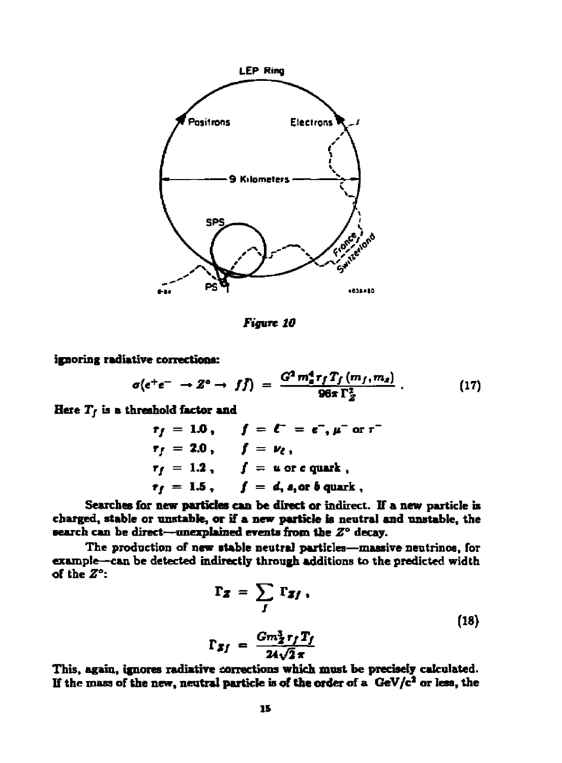

*Figure 10* 

**ignoring radiative corrections:** 

$$
\sigma(e^+e^- \to Z^o \to f\bar{f}) = \frac{G^2 m_a^4 r_f T_f(m_f, m_z)}{96\pi \Gamma_Z^2} \ . \qquad (17)
$$

**Here** *Tj* **is a threshold factor and** 

$$
r_f = 1.0, \quad f = \ell^- = e^-, \mu^- \text{ or } r^2
$$
  
\n
$$
r_f = 2.0, \quad f = \nu_{\ell},
$$
  
\n
$$
r_f = 1.2, \quad f = u \text{ or } e \text{ quark},
$$
  
\n
$$
r_f = 1.5, \quad f = d, s, \text{ or } b \text{ quark},
$$

**Searches for new particles can be direct or indirect. If a new particle is**  charged, stable or unstable, or if a new particle is neutral and unstable, the **search can be direct—unexplained events from the** *Z°* **decay.** 

**The production of new stable neutral particles—massive neutrinos, for example—can be detected indirectly through additions to the predicted width of the** *Z<sup>a</sup> :* 

$$
\Gamma_{\mathbf{Z}} = \sum_{J} \Gamma_{\mathbf{Z}f} ,
$$
  

$$
\Gamma_{\mathbf{Z}f} = \frac{Gm_{\mathbf{Z}}^3 r_f T_f}{24\sqrt{2}\pi}
$$
 (18)

This, again, ignores radiative corrections which must be precisely calculated. **If the mass of fhe new, neutral partkle is of the order of a GeV/c\* or less, the**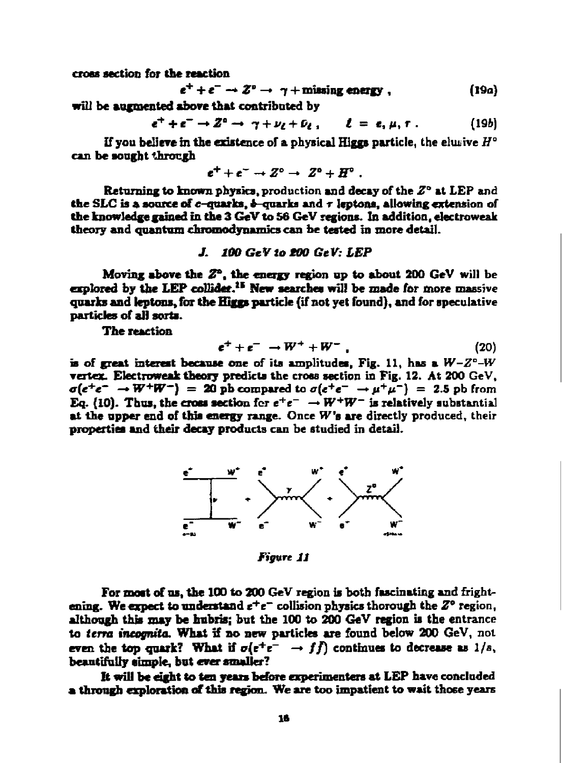**cross section for the reaction** 

$$
e^+ + e^- \to Z^0 \to \gamma + \text{missing energy}, \qquad (19a)
$$

will be augmented above that contributed by

 $e^{+} + e^{-} \rightarrow Z^{0} \rightarrow \gamma + \nu_{1} + \nu_{2}$ ,  $\ell = \ell, \mu, \tau$ , (19*b*)

**If you believe in the existence of a physical Higgs particle, the eliuive** *H°*  **can be sought through** 

$$
e^+ + e^- \rightarrow Z^{\circ} \rightarrow Z^{\circ} + H^{\circ} .
$$

**Returning to known physics, production and decay of the** *Z"* **at LEP and**  the SLC is a source of  $c$ -quarks,  $\boldsymbol{b}$ -quarks and  $\tau$  leptons, allowing extension of **the knowledge gained in the 3 GeV to 56 GeV regions. In addition, electroweak**  theory and quantum chromodynamics can be tested in more detail.

### **J.** *100 GeV to tOO GeV: LEP*

**Moving above the 2\*. the energy region up to about 200 GeV will be explored by the LEP collider.<sup>11</sup> New searches will be made for more massive quarks and leptons, for the Higgs particle (if not yet found), and for speculative particles of all sorts.** 

**The reaction** 

$$
e^+ + e^- \rightarrow W^+ + W^- \qquad (20)
$$

**is of great interest because one of its amplitudes, Fig. 11, has a** *W-2°-W*  **vertex. Electroweak theory predicts the cross section in Fig. 12. At 200 GeV,**   $\sigma(e^+e^- \rightarrow W^+W^-) = 20$  pb compared to  $\sigma(e^+e^- \rightarrow \mu^+\mu^-) = 2.5$  pb from Eq. (10). Thus, the cross section for  $e^+e^- \rightarrow W^+W^-$  is relatively substantial **at the upper end of tins energy range. Once** *We* **are directly produced, their properties and their decay products can be studied in detail.** 



*Figure 11* 

**For moat of us, the 100 to 200 GeV region is both fascinating and frightening. We expect to understand** *t\*t~* **collision physics thorough the Z® region, although this may be Imbris; but the 100 to 200 GeV region is the entrance to** *terra* **incoonifo. What if s o new particles are found below 200 GeV, not**  even the top quark? What if  $\sigma(e^+e^- \rightarrow f\bar{f})$  continues to decrease as  $1/s$ , **beautifully simple, but ever smaller?** 

**It will be eight to ten yean before experimenters at LEP have concluded a through exploration of this region. We are too impatient to wait those years**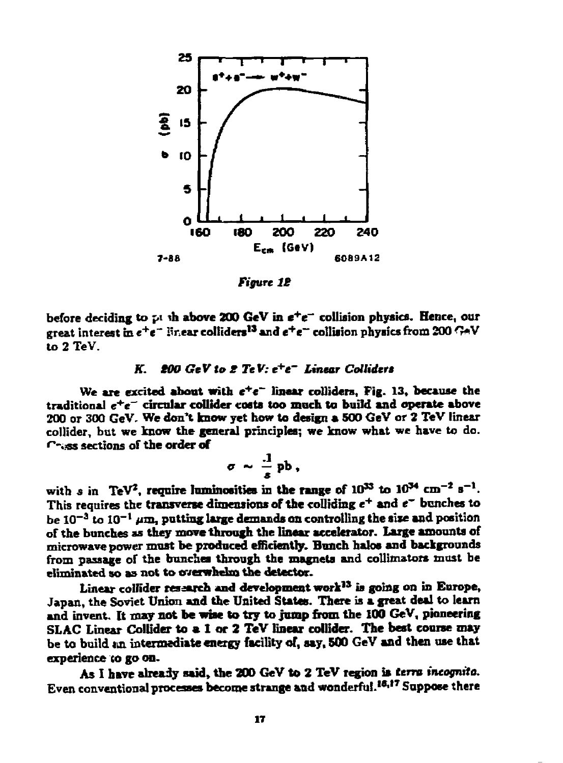

*Figure IS* 

**before deciding to pi ih above 200 GeV in** *t<sup>+</sup> t"* **collision physics. Hence, our great interest in** *e<sup>+</sup> t"* **linear colliders<sup>1</sup> \*and e <sup>+</sup> e~ collision physics from 200 <>V to 2 TeV.** 

# **JT.** *800 GeV to 2 TeV: e\*tT Linear Colliders*

We are excited about with  $e^+e^-$  linear colliders, Fig. 13, because the **traditional e<sup>+</sup> e"~ circular collider costs too much to build and operate above 200 or 300 GeV. We don't know yet how to design a 500 GeV or 2 TeV linear collider, but we know the general principles; we know what we have to do. f-.jss sections of the order of** 

$$
\sigma \sim \frac{.1}{s} \text{ pb},
$$

**«**  This requires the transverse dimensions of the colliding  $e^+$  and  $e^-$  bunches to  $b$ e 10<sup>-3</sup> to 10<sup>-1</sup>  $\mu$ m, putting large demands on controlling the size and position of the bunches as they move through the linear accelerator. Large amounts of microwave power must be produced efficiently. Bunch halos and backgrounds from passage of the bunches through the magnets and collimators must be fliminated so as not to overwhelm the detector.

Linear collider research and development work<sup>13</sup> is going on in Europe, , the Soviet Union and the United States. There is a great deal to learn and invent. It may not be wise to try to jump from the 100 GeV, pioneering SLAC Linear Collider to a 1 or 2 TeV linear collider. The best course may be to build an intermediate energy facility of, say, 500 GeV and then use that experience to go on.

As I have already said, the 200 GeV to 2 TeV region is terra incognita. Even conventional processes become strange and wonderful.<sup>18,17</sup> Suppose there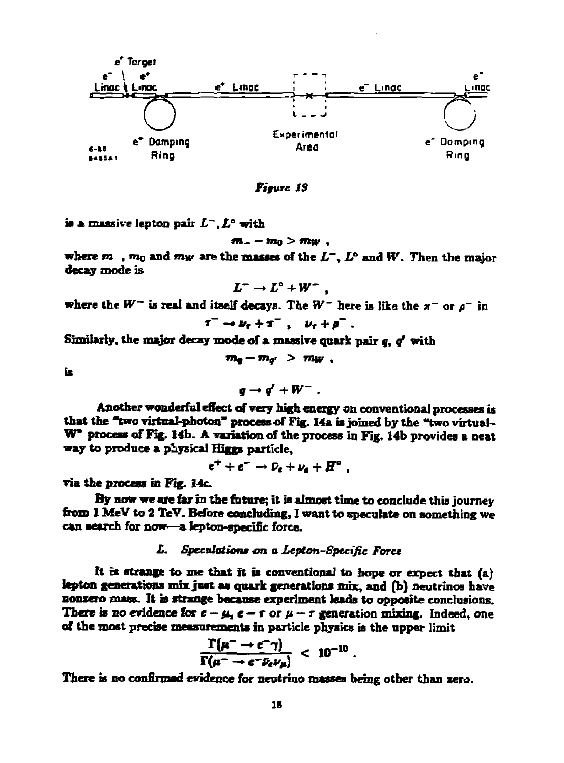

*Figure IS* 

**k a massive lepton pah-** *L~,L<sup>a</sup>*  **with** 

 $m_{-} - m_{0} > m_{W}$ ,

where  $m_-, m_0$  and  $m_W$  are the masses of the  $L^-, L^o$  and  $W$ . Then the major **decay mode is** 

$$
L^- \to L^{\circ} + W^- ,
$$

**where the**  $W^-$  is real and itself decays. The  $W^-$  here is like the  $\pi^-$  or  $\rho^-$  in

$$
\tau^- \rightarrow \nu_{\tau} + \pi^- \ , \quad \nu_{\tau} + \rho^- \ .
$$

Similarly, the major decay mode of a massive quark pair *q*, *q'* with

 $m_e - m_{\overline{e}} > m_W$ ,

**is** 

 $\mathbf{e} \rightarrow \mathbf{e}' + \mathbf{W}^-$ .

**Another wonderful effect of very high energy on conventional processes is that the "two virtual-photon\* process of Fig. 14a is joined by the "two virtual-**W<sup>"</sup> process of Fig. 14b. A variation of the process in Fig. 14b provides a neat **way to produce a physical Biggs particle,** 

 $e^{+} + e^{-} \rightarrow \nu_{e} + \nu_{e} + H^{\circ}$ ,

**via the process in Fig. 14c** 

**By now we are far in the future; it is almost time to conclude this journey from 1 MeV to 2 TeV. Before concluding, I want to speculate on something we can search for now—a fepton-speclfic force.** 

# **X.** *Spcculationm* **on** *a Lepton-Sptcific Force*

**ft ts strange to me that it is conventional to hope or expect that (a) lepton generations mix just as quark generations mix, and (b) neutrinos have nonzero mass. It b strange because experiment leads to opposite conclusions. There is no evidence for**  $e - \mu$ **,**  $e - r$  **or**  $\mu - r$  **generation mixing. Indeed, one of the most precise measurements in particle physics is the upper limit** 

$$
\frac{\Gamma(\mu^- \to e^- \gamma)}{\Gamma(\mu^- \to e^- \bar{\nu}_e \nu_\mu)} \; < \; 10^{-10} \; .
$$

There is no confirmed evidence for neutrino masses being other than zero.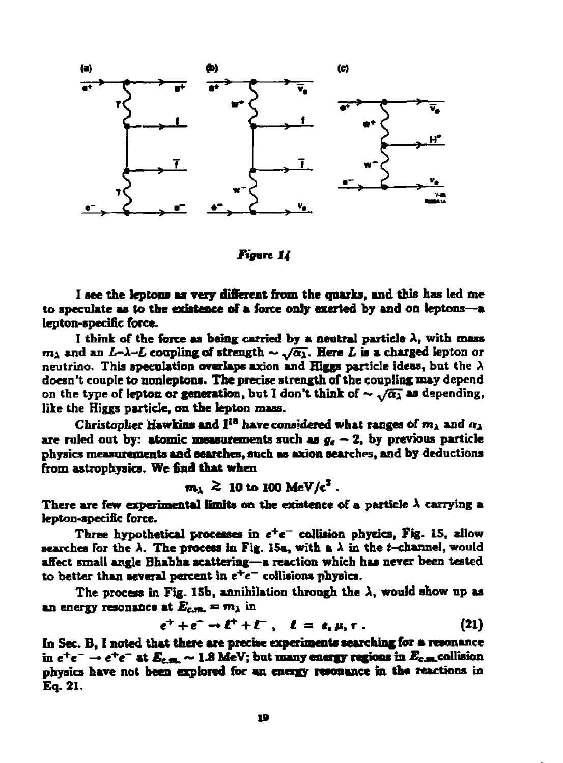

*Figurt 14* 

**I see the leptons as very different from the quarks, and this has led me to speculate as to the existence of a force only exerted by and on leptons—a lepton-specific force.** 

I think of the force as being carried by a neutral particle  $\lambda$ , with mass  $m_1$  and an *L-* $\lambda$ *-L* coupling of strength  $\sim \sqrt{\alpha_1}$ . Here *L* is a charged lepton or neutrino. This speculation overlaps axion and Higgs particle ideas, but the  $\lambda$ **doesn't couple to nonleptons. The precise strength of the coupling may depend**  on the type of lepton or generation, but I don't think of  $\sim \sqrt{\alpha_{\lambda}}$  as depending, **like the Higgs particle, on the lepton mass.** 

**Christopher Hawkins and I<sup>1</sup> " have considered what ranges of** *mx* **and « <sup>A</sup>** are ruled out by: atomic measurements such as  $g_e - 2$ , by previous particle **physics measurements and Benches, such as axion searches, and by deductions from astrophysics. We find that when** 

 $m_{\lambda}$   $\gtrsim$  10 to 100 MeV/c<sup>2</sup>.

There are few experimental limits on the existence of a particle  $\lambda$  carrying a **lepton-specific force.** 

**Three hypothetical processes in** *e<sup>+</sup> e~* **collision physics, Fig. 15, allow searches for the**  $\lambda$ **. The process in Fig. 15a, with a**  $\lambda$  **in the** *t***-channel, would affect small angle Bhabha scattering—a reaction which has never been tested**  to better than several percent in  $e^+e^-$  collisions physics.

**The process in Fig. 15b, annihilation through the A, would show up as an energy resonance at**  $E_{\text{c.m.}} = m_1$  **in** 

$$
e^+ + e^- \rightarrow \ell^+ + \ell^- \ , \quad \ell = e, \mu, \tau \ . \tag{21}
$$

**In Sec. B, I noted that there are precise experiments searching for a resonance**  in  $e^+e^- \to e^+e^-$  at  $E_{c.m.} \sim 1.8$  MeV; but many energy regions in  $E_{c.m.}$  collision **physics have not been explored for an energy resonance in the reactions in Eq. 21.**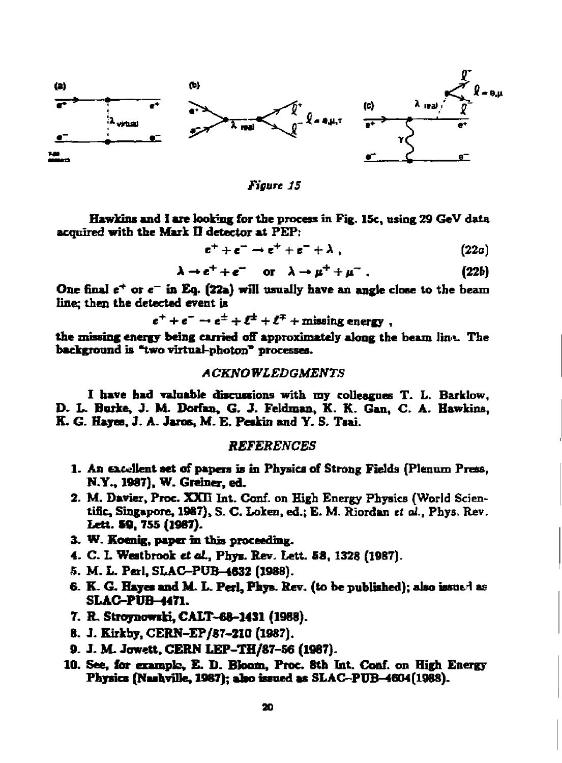

*Figure 15* 

**Hawkins and I are looking for the process in Fig. 15c, using 29 GeV data acquired with the Mark II detector at PEP:** 

 $e^+ + e^- \to e^+ + e^- + \lambda$ , (22a)

 $\lambda \rightarrow e^+ + e^-$  or  $\lambda \rightarrow \mu^+ + \mu^-$ . (22b)

One final  $e^+$  or  $e^-$  in Eq. (22a) will usually have an angle close to the beam **line; then the detected event is** 

 $e^+ + e^- \rightarrow e^{\pm} + \ell^{\pm} + \ell^{\mp} +$  missing energy,

**the missing energy being carried off approximately along the beam Jin"- The background is "two virtual-photon\* processes.** 

### *A CKNO WLEDGMENTS*

**I have had valuable discussions with my colleagues T. L. Barklow, D. L. Burke, J. M. Dorfan, G. J. Feldman, K. K. Gan, C. A. Hawkins, K. G. Hayes, J. A. Jams, M. E. Peskin and Y. S. Tsai.** 

### *REFERENCES*

- **1. An excellent set of papers is in Physics of Strong Fields (Plenum Press, N.Y., 1987). W. Greiner, ed.**
- **2. M. Davier, Proc. XXH Int. Conf. on High Energy Physics (World Scientific, Singapore, 1987), S. C. Loken, ed.; E. M. Riordan** *tt ol.,* **Pbys. Rev. Lett. SO, 755 (1987).**
- **3. W. Koenig, paper in this proceeding.**
- **4. C. L Wratbrook et ol, Phya. Rev. Lett. 68, 1328 (1987).**
- **5. M. L. Perl, SLAC-PUB-4632 (1988).**
- **6. K- G. Hayes and M. L. Perl, Phya. Rev. (to be published); also issued as SLAC-PUB-4471.**
- **7. R. Stroynowski, CALT-68-1431 (1988).**
- **8. J. Kirkby, CERN-EP/87-210 (1987).**
- **9. J. M. Jowett. CERN LEP-TH/87-56 (1987).**
- **10. See, for example, E. D. Bloom, Proc. 8th Int. Conf. on High Energy**  Physics (Nashville, 1987); also issued as SLAC-PUB-4604(1988).